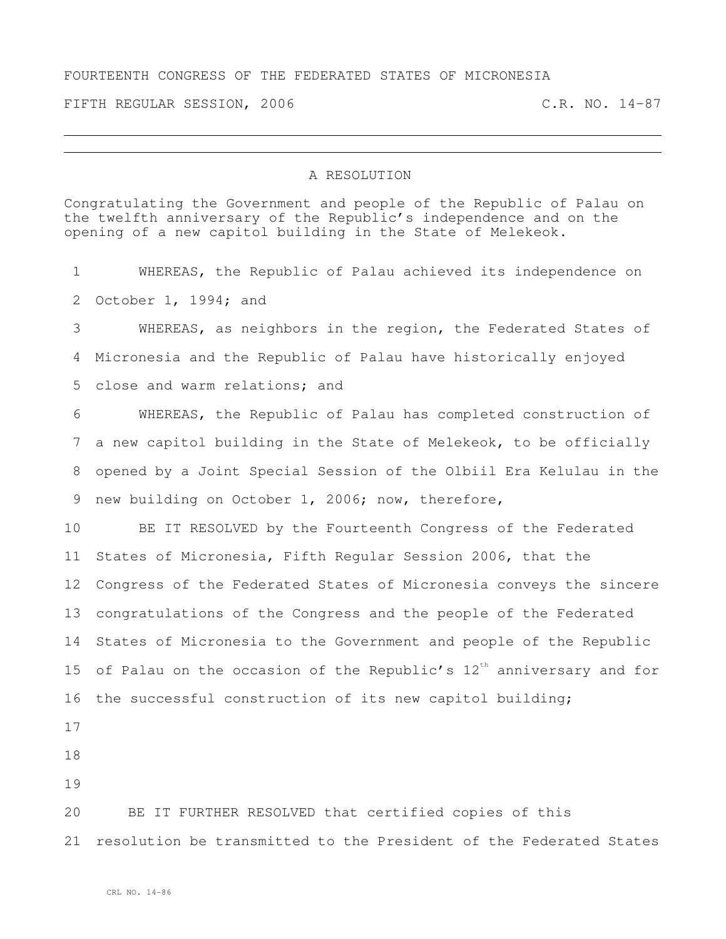## FOURTEENTH CONGRESS OF THE FEDERATED STATES OF MICRONESIA

FIFTH REGULAR SESSION, 2006 C.R. NO. 14-87

## A RESOLUTION

Congratulating the Government and people of the Republic of Palau on the twelfth anniversary of the Republic's independence and on the opening of a new capitol building in the State of Melekeok.

 WHEREAS, the Republic of Palau achieved its independence on October 1, 1994; and WHEREAS, as neighbors in the region, the Federated States of Micronesia and the Republic of Palau have historically enjoyed close and warm relations; and WHEREAS, the Republic of Palau has completed construction of a new capitol building in the State of Melekeok, to be officially opened by a Joint Special Session of the Olbiil Era Kelulau in the new building on October 1, 2006; now, therefore, BE IT RESOLVED by the Fourteenth Congress of the Federated States of Micronesia, Fifth Regular Session 2006, that the Congress of the Federated States of Micronesia conveys the sincere congratulations of the Congress and the people of the Federated States of Micronesia to the Government and people of the Republic 15 of Palau on the occasion of the Republic's  $12^{\text{th}}$  anniversary and for the successful construction of its new capitol building; BE IT FURTHER RESOLVED that certified copies of this resolution be transmitted to the President of the Federated States